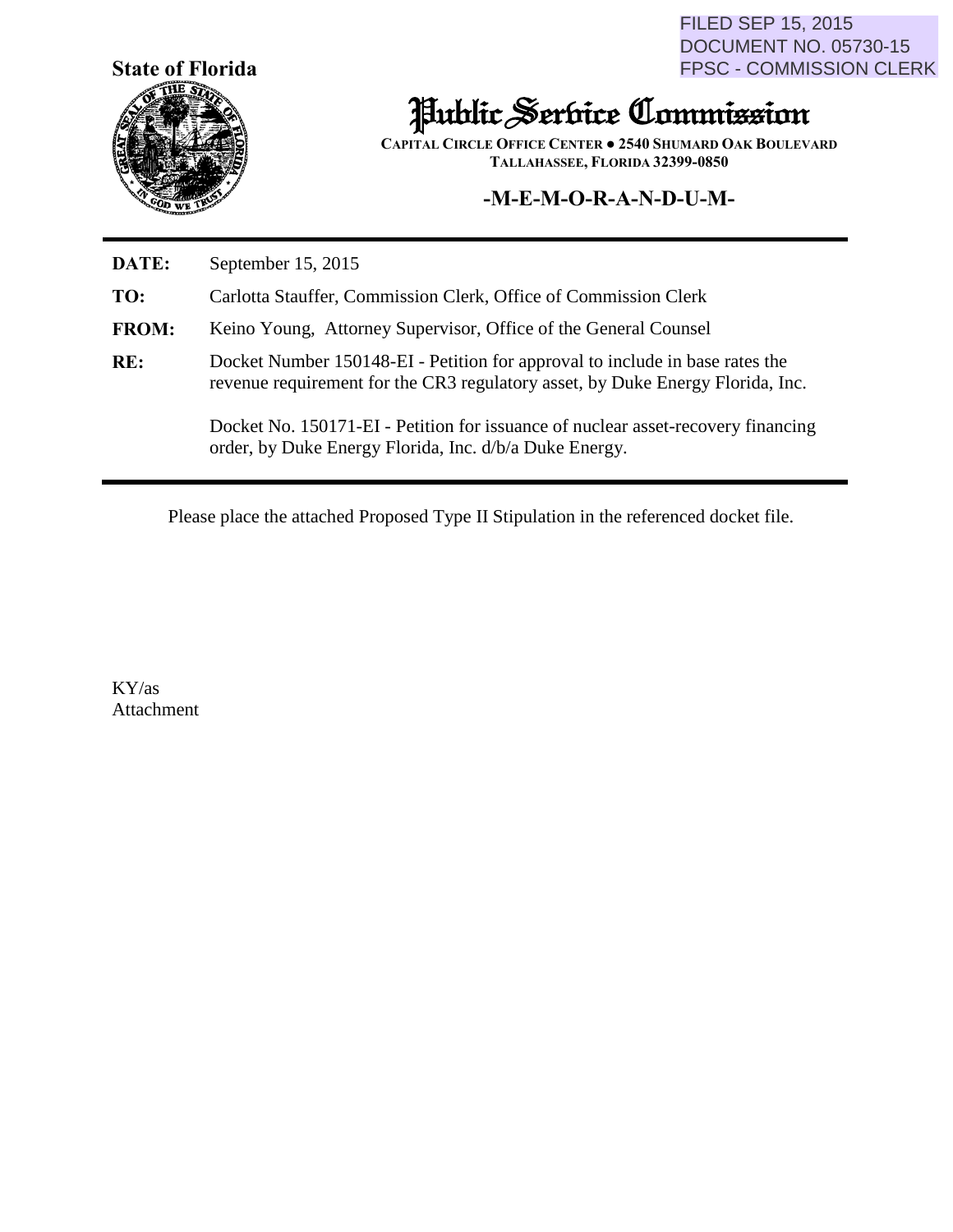**State of Florida**



FILED SEP 15, 2015 DOCUMENT NO. 05730-15 FPSC - COMMISSION CLERK

## Public Service Commission

**CAPITAL CIRCLE OFFICE CENTER ● 2540 SHUMARD OAK BOULEVARD TALLAHASSEE, FLORIDA 32399-0850**

## **-M-E-M-O-R-A-N-D-U-M-**

**DATE:** September 15, 2015

**TO:** Carlotta Stauffer, Commission Clerk, Office of Commission Clerk

- **FROM:** Keino Young, Attorney Supervisor, Office of the General Counsel
- **RE:** Docket Number 150148-EI Petition for approval to include in base rates the revenue requirement for the CR3 regulatory asset, by Duke Energy Florida, Inc.

Docket No. 150171-EI - Petition for issuance of nuclear asset-recovery financing order, by Duke Energy Florida, Inc. d/b/a Duke Energy.

Please place the attached Proposed Type II Stipulation in the referenced docket file.

KY/as Attachment